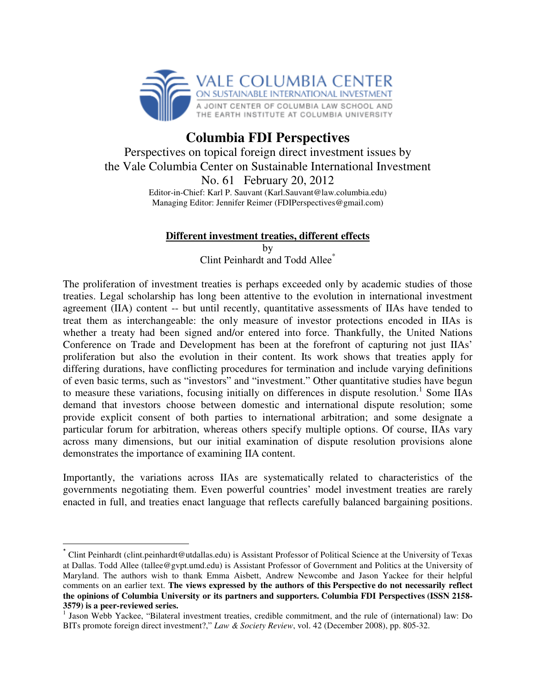

## **Columbia FDI Perspectives**

Perspectives on topical foreign direct investment issues by the Vale Columbia Center on Sustainable International Investment

> No. 61 February 20, 2012 Editor-in-Chief: Karl P. Sauvant (Karl.Sauvant@law.columbia.edu) Managing Editor: Jennifer Reimer (FDIPerspectives@gmail.com)

## **Different investment treaties, different effects**

by

Clint Peinhardt and Todd Allee\*

The proliferation of investment treaties is perhaps exceeded only by academic studies of those treaties. Legal scholarship has long been attentive to the evolution in international investment agreement (IIA) content -- but until recently, quantitative assessments of IIAs have tended to treat them as interchangeable: the only measure of investor protections encoded in IIAs is whether a treaty had been signed and/or entered into force. Thankfully, the United Nations Conference on Trade and Development has been at the forefront of capturing not just IIAs' proliferation but also the evolution in their content. Its work shows that treaties apply for differing durations, have conflicting procedures for termination and include varying definitions of even basic terms, such as "investors" and "investment." Other quantitative studies have begun to measure these variations, focusing initially on differences in dispute resolution.<sup>1</sup> Some IIAs demand that investors choose between domestic and international dispute resolution; some provide explicit consent of both parties to international arbitration; and some designate a particular forum for arbitration, whereas others specify multiple options. Of course, IIAs vary across many dimensions, but our initial examination of dispute resolution provisions alone demonstrates the importance of examining IIA content.

Importantly, the variations across IIAs are systematically related to characteristics of the governments negotiating them. Even powerful countries' model investment treaties are rarely enacted in full, and treaties enact language that reflects carefully balanced bargaining positions.

 $\overline{a}$ 

<sup>\*</sup> Clint Peinhardt (clint.peinhardt@utdallas.edu) is Assistant Professor of Political Science at the University of Texas at Dallas. Todd Allee (tallee@gvpt.umd.edu) is Assistant Professor of Government and Politics at the University of Maryland. The authors wish to thank Emma Aisbett, Andrew Newcombe and Jason Yackee for their helpful comments on an earlier text. **The views expressed by the authors of this Perspective do not necessarily reflect the opinions of Columbia University or its partners and supporters. Columbia FDI Perspectives (ISSN 2158- 3579) is a peer-reviewed series.**

<sup>&</sup>lt;sup>1</sup> Jason Webb Yackee, "Bilateral investment treaties, credible commitment, and the rule of (international) law: Do BITs promote foreign direct investment?," *Law & Society Review*, vol. 42 (December 2008), pp. 805-32.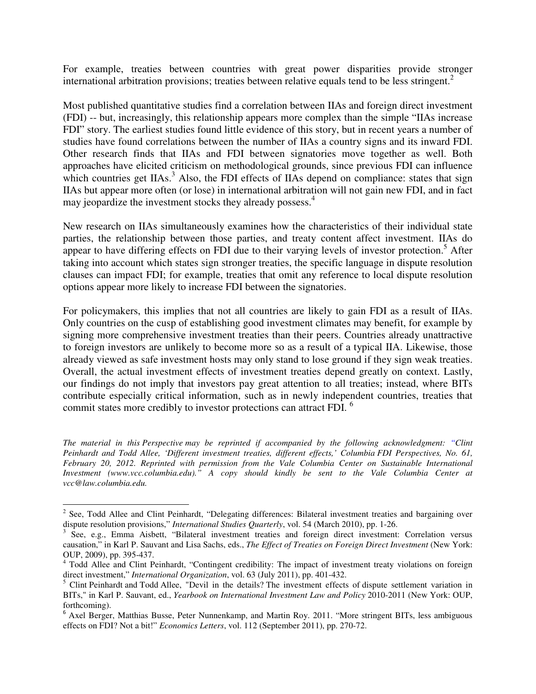For example, treaties between countries with great power disparities provide stronger international arbitration provisions; treaties between relative equals tend to be less stringent.<sup>2</sup>

Most published quantitative studies find a correlation between IIAs and foreign direct investment (FDI) -- but, increasingly, this relationship appears more complex than the simple "IIAs increase FDI" story. The earliest studies found little evidence of this story, but in recent years a number of studies have found correlations between the number of IIAs a country signs and its inward FDI. Other research finds that IIAs and FDI between signatories move together as well. Both approaches have elicited criticism on methodological grounds, since previous FDI can influence which countries get  $IIAs.<sup>3</sup>$  Also, the FDI effects of IIAs depend on compliance: states that sign IIAs but appear more often (or lose) in international arbitration will not gain new FDI, and in fact may jeopardize the investment stocks they already possess.<sup>4</sup>

New research on IIAs simultaneously examines how the characteristics of their individual state parties, the relationship between those parties, and treaty content affect investment. IIAs do appear to have differing effects on FDI due to their varying levels of investor protection.<sup>5</sup> After taking into account which states sign stronger treaties, the specific language in dispute resolution clauses can impact FDI; for example, treaties that omit any reference to local dispute resolution options appear more likely to increase FDI between the signatories.

For policymakers, this implies that not all countries are likely to gain FDI as a result of IIAs. Only countries on the cusp of establishing good investment climates may benefit, for example by signing more comprehensive investment treaties than their peers. Countries already unattractive to foreign investors are unlikely to become more so as a result of a typical IIA. Likewise, those already viewed as safe investment hosts may only stand to lose ground if they sign weak treaties. Overall, the actual investment effects of investment treaties depend greatly on context. Lastly, our findings do not imply that investors pay great attention to all treaties; instead, where BITs contribute especially critical information, such as in newly independent countries, treaties that commit states more credibly to investor protections can attract FDI.<sup>6</sup>

*The material in this Perspective may be reprinted if accompanied by the following acknowledgment: "Clint Peinhardt and Todd Allee, 'Different investment treaties, different effects,' Columbia FDI Perspectives, No. 61, February 20, 2012. Reprinted with permission from the Vale Columbia Center on Sustainable International Investment (www.vcc.columbia.edu)." A copy should kindly be sent to the Vale Columbia Center at vcc@law.columbia.edu.* 

l

<sup>&</sup>lt;sup>2</sup> See, Todd Allee and Clint Peinhardt, "Delegating differences: Bilateral investment treaties and bargaining over dispute resolution provisions," *International Studies Quarterly*, vol. 54 (March 2010), pp. 1-26.

<sup>&</sup>lt;sup>3</sup> See, e.g., Emma Aisbett, "Bilateral investment treaties and foreign direct investment: Correlation versus causation," in Karl P. Sauvant and Lisa Sachs, eds., *The Effect of Treaties on Foreign Direct Investment* (New York: OUP, 2009), pp. 395-437.

<sup>&</sup>lt;sup>4</sup> Todd Allee and Clint Peinhardt, "Contingent credibility: The impact of investment treaty violations on foreign direct investment," *International Organization*, vol. 63 (July 2011), pp. 401-432.

<sup>&</sup>lt;sup>5</sup> Clint Peinhardt and Todd Allee, "Devil in the details? The investment effects of dispute settlement variation in BITs," in Karl P. Sauvant, ed., *Yearbook on International Investment Law and Policy* 2010-2011 (New York: OUP, forthcoming).

<sup>&</sup>lt;sup>6</sup> Axel Berger, Matthias Busse, Peter Nunnenkamp, and Martin Roy. 2011. "More stringent BITs, less ambiguous effects on FDI? Not a bit!" *Economics Letters*, vol. 112 (September 2011), pp. 270-72.